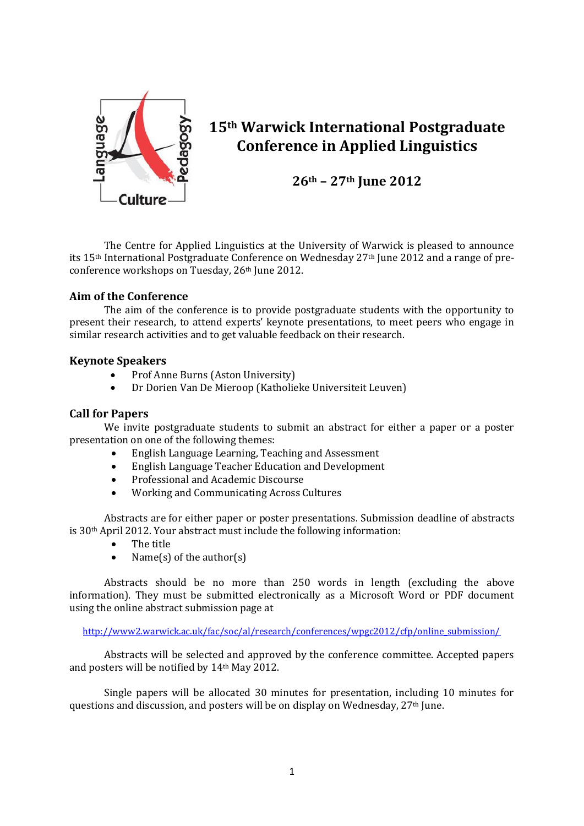

# **15th Warwick International Postgraduate Conference in Applied Linguistics**

**26th – 27th June 2012**

The Centre for Applied Linguistics at the University of Warwick is pleased to announce its 15th International Postgraduate Conference on Wednesday 27th June 2012 and a range of preconference workshops on Tuesday, 26th June 2012.

## **Aim of the Conference**

The aim of the conference is to provide postgraduate students with the opportunity to present their research, to attend experts' keynote presentations, to meet peers who engage in similar research activities and to get valuable feedback on their research.

## **Keynote Speakers**

- Prof Anne Burns (Aston University)
- Dr Dorien Van De Mieroop (Katholieke Universiteit Leuven)

## **Call for Papers**

We invite postgraduate students to submit an abstract for either a paper or a poster presentation on one of the following themes:

- English Language Learning, Teaching and Assessment
- English Language Teacher Education and Development
- Professional and Academic Discourse
- Working and Communicating Across Cultures

Abstracts are for either paper or poster presentations. Submission deadline of abstracts is 30th April 2012. Your abstract must include the following information:

- The title
- Name $(s)$  of the author $(s)$

Abstracts should be no more than 250 words in length (excluding the above information). They must be submitted electronically as a Microsoft Word or PDF document using the online abstract submission page at

[http://www2.warwick.ac.uk/fac/soc/al/research/conferences/wpgc2012/cfp/online\\_submission/](http://www2.warwick.ac.uk/fac/soc/al/research/conferences/wpgc2012/cfp/online_submission/)

Abstracts will be selected and approved by the conference committee. Accepted papers and posters will be notified by 14th May 2012.

Single papers will be allocated 30 minutes for presentation, including 10 minutes for questions and discussion, and posters will be on display on Wednesday, 27th June.